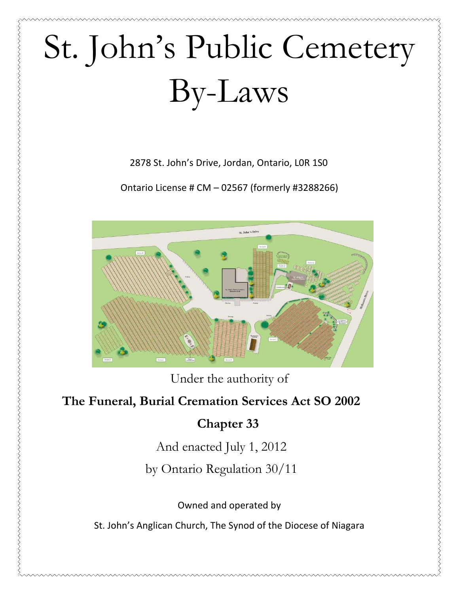# St. John's Public Cemetery By-Laws

2878 St. John's Drive, Jordan, Ontario, L0R 1S0

Ontario License #  $CM - 02567$  (formerly #3288266)



Under the authority of

# **The Funeral, Burial Cremation Services Act SO 2002**

# **Chapter 33**

And enacted July 1, 2012

by Ontario Regulation 30/11

Owned and operated by

St. John's Anglican Church, The Synod of the Diocese of Niagara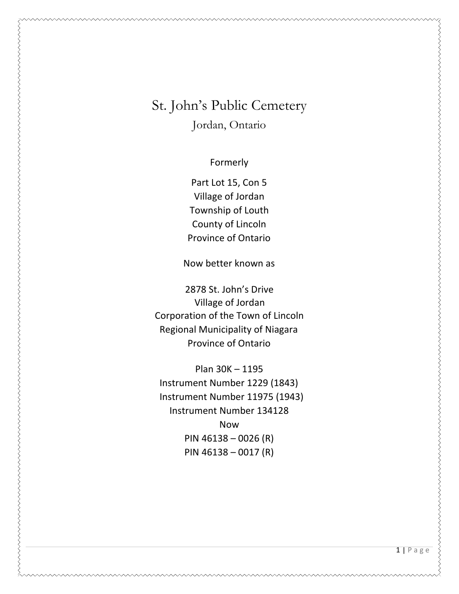# St. John's Public Cemetery Jordan, Ontario

Formerly 

Part Lot 15, Con 5 Village of Jordan Township of Louth County of Lincoln Province of Ontario

Now better known as

2878 St. John's Drive Village of Jordan Corporation of the Town of Lincoln Regional Municipality of Niagara Province of Ontario

Plan 30K - 1195 Instrument Number 1229 (1843) Instrument Number 11975 (1943) Instrument Number 134128 Now PIN  $46138 - 0026$  (R) PIN  $46138 - 0017$  (R)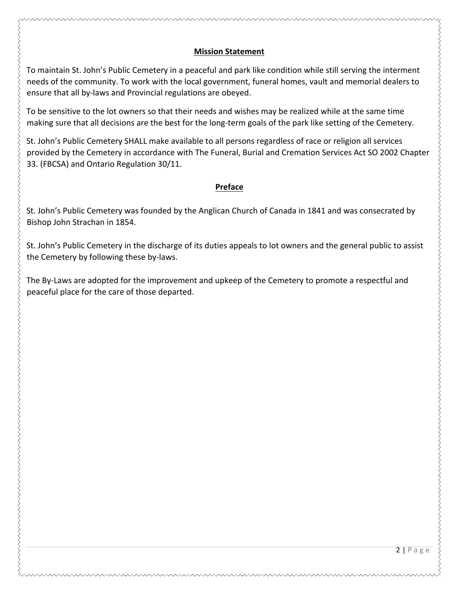#### **Mission Statement**

To maintain St. John's Public Cemetery in a peaceful and park like condition while still serving the interment needs of the community. To work with the local government, funeral homes, vault and memorial dealers to ensure that all by-laws and Provincial regulations are obeyed.

To be sensitive to the lot owners so that their needs and wishes may be realized while at the same time making sure that all decisions are the best for the long-term goals of the park like setting of the Cemetery.

St. John's Public Cemetery SHALL make available to all persons regardless of race or religion all services provided by the Cemetery in accordance with The Funeral, Burial and Cremation Services Act SO 2002 Chapter 33. (FBCSA) and Ontario Regulation 30/11.

#### **Preface**

St. John's Public Cemetery was founded by the Anglican Church of Canada in 1841 and was consecrated by Bishop John Strachan in 1854.

St. John's Public Cemetery in the discharge of its duties appeals to lot owners and the general public to assist the Cemetery by following these by-laws.

The By-Laws are adopted for the improvement and upkeep of the Cemetery to promote a respectful and peaceful place for the care of those departed.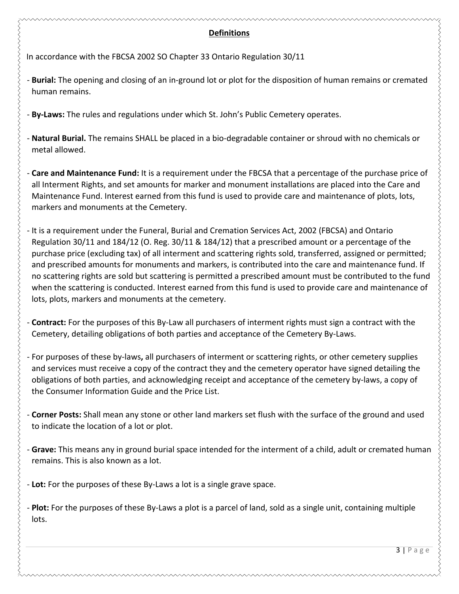#### **Definitions**

In accordance with the FBCSA 2002 SO Chapter 33 Ontario Regulation 30/11

- **Burial:** The opening and closing of an in-ground lot or plot for the disposition of human remains or cremated human remains.

- By-Laws: The rules and regulations under which St. John's Public Cemetery operates.

- **Natural Burial.** The remains SHALL be placed in a bio-degradable container or shroud with no chemicals or metal allowed.

- **Care and Maintenance Fund:** It is a requirement under the FBCSA that a percentage of the purchase price of all Interment Rights, and set amounts for marker and monument installations are placed into the Care and Maintenance Fund. Interest earned from this fund is used to provide care and maintenance of plots, lots, markers and monuments at the Cemetery.

- It is a requirement under the Funeral, Burial and Cremation Services Act, 2002 (FBCSA) and Ontario Regulation 30/11 and 184/12 (O. Reg. 30/11 & 184/12) that a prescribed amount or a percentage of the purchase price (excluding tax) of all interment and scattering rights sold, transferred, assigned or permitted; and prescribed amounts for monuments and markers, is contributed into the care and maintenance fund. If no scattering rights are sold but scattering is permitted a prescribed amount must be contributed to the fund when the scattering is conducted. Interest earned from this fund is used to provide care and maintenance of lots, plots, markers and monuments at the cemetery.

- **Contract:** For the purposes of this By-Law all purchasers of interment rights must sign a contract with the Cemetery, detailing obligations of both parties and acceptance of the Cemetery By-Laws.

- For purposes of these by-laws, all purchasers of interment or scattering rights, or other cemetery supplies and services must receive a copy of the contract they and the cemetery operator have signed detailing the obligations of both parties, and acknowledging receipt and acceptance of the cemetery by-laws, a copy of the Consumer Information Guide and the Price List.

- **Corner Posts:** Shall mean any stone or other land markers set flush with the surface of the ground and used to indicate the location of a lot or plot.

- Grave: This means any in ground burial space intended for the interment of a child, adult or cremated human remains. This is also known as a lot.

- Lot: For the purposes of these By-Laws a lot is a single grave space.

- **Plot:** For the purposes of these By-Laws a plot is a parcel of land, sold as a single unit, containing multiple lots.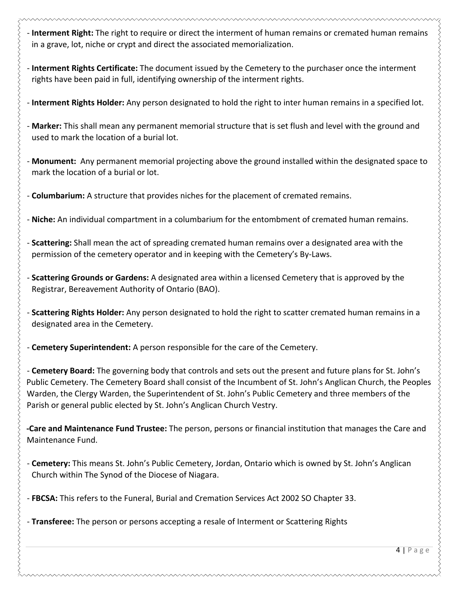**- Interment Right:** The right to require or direct the interment of human remains or cremated human remains in a grave, lot, niche or crypt and direct the associated memorialization.

- **Interment Rights Certificate:** The document issued by the Cemetery to the purchaser once the interment rights have been paid in full, identifying ownership of the interment rights.

- Interment Rights Holder: Any person designated to hold the right to inter human remains in a specified lot.

- Marker: This shall mean any permanent memorial structure that is set flush and level with the ground and used to mark the location of a burial lot.

- **Monument:** Any permanent memorial projecting above the ground installed within the designated space to mark the location of a burial or lot.

- **Columbarium:** A structure that provides niches for the placement of cremated remains.

- **Niche:** An individual compartment in a columbarium for the entombment of cremated human remains.

- **Scattering:** Shall mean the act of spreading cremated human remains over a designated area with the permission of the cemetery operator and in keeping with the Cemetery's By-Laws.

**- Scattering Grounds or Gardens:** A designated area within a licensed Cemetery that is approved by the Registrar, Bereavement Authority of Ontario (BAO).

- **Scattering Rights Holder:** Any person designated to hold the right to scatter cremated human remains in a designated area in the Cemetery.

- **Cemetery Superintendent:** A person responsible for the care of the Cemetery.

- **Cemetery Board:** The governing body that controls and sets out the present and future plans for St. John's Public Cemetery. The Cemetery Board shall consist of the Incumbent of St. John's Anglican Church, the Peoples Warden, the Clergy Warden, the Superintendent of St. John's Public Cemetery and three members of the Parish or general public elected by St. John's Anglican Church Vestry.

**-Care and Maintenance Fund Trustee:** The person, persons or financial institution that manages the Care and Maintenance Fund.

- **Cemetery:** This means St. John's Public Cemetery, Jordan, Ontario which is owned by St. John's Anglican Church within The Synod of the Diocese of Niagara.

- FBCSA: This refers to the Funeral, Burial and Cremation Services Act 2002 SO Chapter 33.

- **Transferee:** The person or persons accepting a resale of Interment or Scattering Rights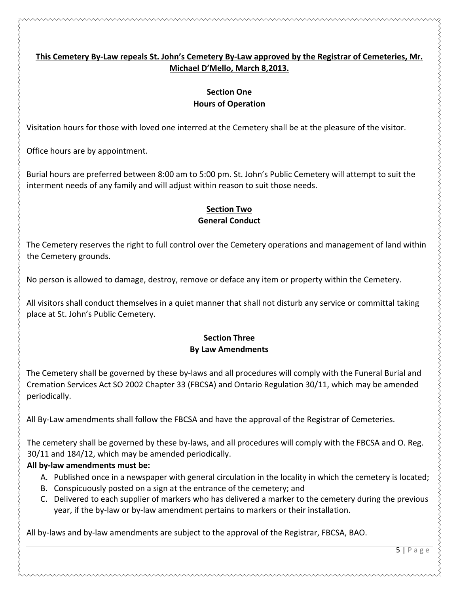#### This Cemetery By-Law repeals St. John's Cemetery By-Law approved by the Registrar of Cemeteries, Mr. Michael D'Mello, March 8,2013.

#### **Section One Hours of Operation**

Visitation hours for those with loved one interred at the Cemetery shall be at the pleasure of the visitor.

Office hours are by appointment.

Burial hours are preferred between 8:00 am to 5:00 pm. St. John's Public Cemetery will attempt to suit the interment needs of any family and will adjust within reason to suit those needs.

#### **Section Two General Conduct**

The Cemetery reserves the right to full control over the Cemetery operations and management of land within the Cemetery grounds.

No person is allowed to damage, destroy, remove or deface any item or property within the Cemetery.

All visitors shall conduct themselves in a quiet manner that shall not disturb any service or committal taking place at St. John's Public Cemetery.

#### **Section Three By Law Amendments**

The Cemetery shall be governed by these by-laws and all procedures will comply with the Funeral Burial and Cremation Services Act SO 2002 Chapter 33 (FBCSA) and Ontario Regulation 30/11, which may be amended periodically. 

All By-Law amendments shall follow the FBCSA and have the approval of the Registrar of Cemeteries.

The cemetery shall be governed by these by-laws, and all procedures will comply with the FBCSA and O. Reg. 30/11 and 184/12, which may be amended periodically.

#### All by-law amendments must be:

- A. Published once in a newspaper with general circulation in the locality in which the cemetery is located;
- B. Conspicuously posted on a sign at the entrance of the cemetery; and
- C. Delivered to each supplier of markers who has delivered a marker to the cemetery during the previous year, if the by-law or by-law amendment pertains to markers or their installation.

All by-laws and by-law amendments are subject to the approval of the Registrar, FBCSA, BAO.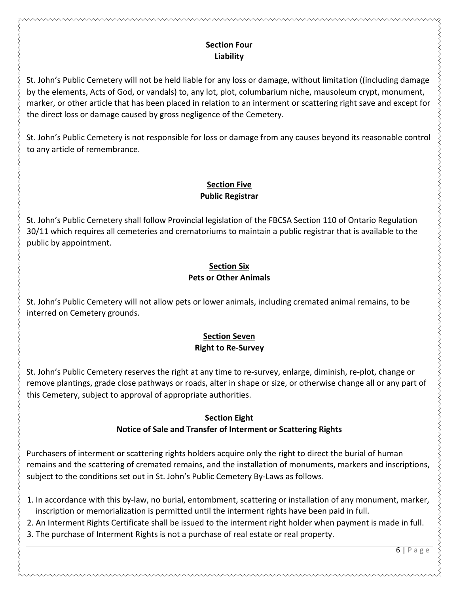#### **Section Four Liability**

St. John's Public Cemetery will not be held liable for any loss or damage, without limitation ((including damage by the elements, Acts of God, or vandals) to, any lot, plot, columbarium niche, mausoleum crypt, monument, marker, or other article that has been placed in relation to an interment or scattering right save and except for the direct loss or damage caused by gross negligence of the Cemetery.

St. John's Public Cemetery is not responsible for loss or damage from any causes beyond its reasonable control to any article of remembrance.

# **Section Five Public Registrar**

St. John's Public Cemetery shall follow Provincial legislation of the FBCSA Section 110 of Ontario Regulation 30/11 which requires all cemeteries and crematoriums to maintain a public registrar that is available to the public by appointment.

#### **Section Six Pets or Other Animals**

St. John's Public Cemetery will not allow pets or lower animals, including cremated animal remains, to be interred on Cemetery grounds.

# **Section Seven Right to Re-Survey**

St. John's Public Cemetery reserves the right at any time to re-survey, enlarge, diminish, re-plot, change or remove plantings, grade close pathways or roads, alter in shape or size, or otherwise change all or any part of this Cemetery, subject to approval of appropriate authorities.

# **Section Eight**

# **Notice of Sale and Transfer of Interment or Scattering Rights**

Purchasers of interment or scattering rights holders acquire only the right to direct the burial of human remains and the scattering of cremated remains, and the installation of monuments, markers and inscriptions, subject to the conditions set out in St. John's Public Cemetery By-Laws as follows.

- 1. In accordance with this by-law, no burial, entombment, scattering or installation of any monument, marker, inscription or memorialization is permitted until the interment rights have been paid in full.
- 2. An Interment Rights Certificate shall be issued to the interment right holder when payment is made in full. 3. The purchase of Interment Rights is not a purchase of real estate or real property.

#### 6 | Page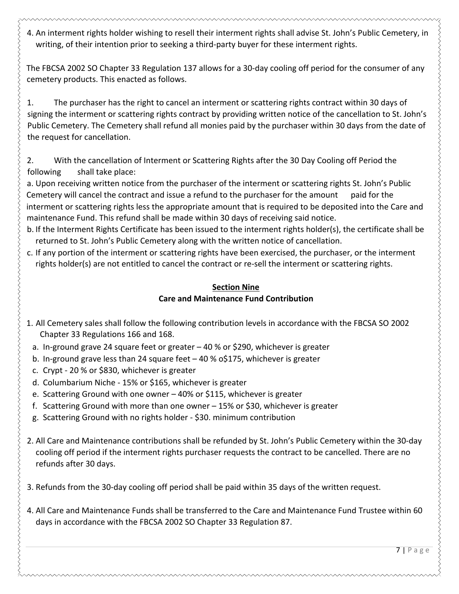4. An interment rights holder wishing to resell their interment rights shall advise St. John's Public Cemetery, in writing, of their intention prior to seeking a third-party buyer for these interment rights.

The FBCSA 2002 SO Chapter 33 Regulation 137 allows for a 30-day cooling off period for the consumer of any cemetery products. This enacted as follows.

1. The purchaser has the right to cancel an interment or scattering rights contract within 30 days of signing the interment or scattering rights contract by providing written notice of the cancellation to St. John's Public Cemetery. The Cemetery shall refund all monies paid by the purchaser within 30 days from the date of the request for cancellation.

2. With the cancellation of Interment or Scattering Rights after the 30 Day Cooling off Period the following shall take place:

a. Upon receiving written notice from the purchaser of the interment or scattering rights St. John's Public Cemetery will cancel the contract and issue a refund to the purchaser for the amount paid for the interment or scattering rights less the appropriate amount that is required to be deposited into the Care and maintenance Fund. This refund shall be made within 30 days of receiving said notice.

- b. If the Interment Rights Certificate has been issued to the interment rights holder(s), the certificate shall be returned to St. John's Public Cemetery along with the written notice of cancellation.
- c. If any portion of the interment or scattering rights have been exercised, the purchaser, or the interment rights holder(s) are not entitled to cancel the contract or re-sell the interment or scattering rights.

## **Section Nine Care and Maintenance Fund Contribution**

- 1. All Cemetery sales shall follow the following contribution levels in accordance with the FBCSA SO 2002 Chapter 33 Regulations 166 and 168.
	- a. In-ground grave 24 square feet or greater  $-40\%$  or \$290, whichever is greater
	- b. In-ground grave less than 24 square feet  $-$  40 % o\$175, whichever is greater
	- c. Crypt 20 % or \$830, whichever is greater
	- d. Columbarium Niche 15% or \$165, whichever is greater
	- e. Scattering Ground with one owner  $-40%$  or \$115, whichever is greater
	- f. Scattering Ground with more than one owner  $-15\%$  or \$30, whichever is greater
	- g. Scattering Ground with no rights holder \$30. minimum contribution
- 2. All Care and Maintenance contributions shall be refunded by St. John's Public Cemetery within the 30-day cooling off period if the interment rights purchaser requests the contract to be cancelled. There are no refunds after 30 days.
- 3. Refunds from the 30-day cooling off period shall be paid within 35 days of the written request.
- 4. All Care and Maintenance Funds shall be transferred to the Care and Maintenance Fund Trustee within 60 days in accordance with the FBCSA 2002 SO Chapter 33 Regulation 87.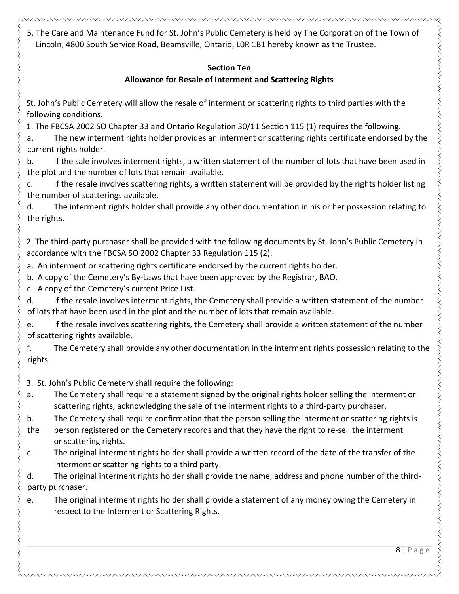5. The Care and Maintenance Fund for St. John's Public Cemetery is held by The Corporation of the Town of Lincoln, 4800 South Service Road, Beamsville, Ontario, LOR 1B1 hereby known as the Trustee.

# **Section Ten**

# **Allowance for Resale of Interment and Scattering Rights**

St. John's Public Cemetery will allow the resale of interment or scattering rights to third parties with the following conditions.

1. The FBCSA 2002 SO Chapter 33 and Ontario Regulation 30/11 Section 115 (1) requires the following.

a. The new interment rights holder provides an interment or scattering rights certificate endorsed by the current rights holder.

b. If the sale involves interment rights, a written statement of the number of lots that have been used in the plot and the number of lots that remain available.

c. If the resale involves scattering rights, a written statement will be provided by the rights holder listing the number of scatterings available.

d. The interment rights holder shall provide any other documentation in his or her possession relating to the rights.

2. The third-party purchaser shall be provided with the following documents by St. John's Public Cemetery in accordance with the FBCSA SO 2002 Chapter 33 Regulation 115 (2).

a. An interment or scattering rights certificate endorsed by the current rights holder.

b. A copy of the Cemetery's By-Laws that have been approved by the Registrar, BAO.

c. A copy of the Cemetery's current Price List.

d. If the resale involves interment rights, the Cemetery shall provide a written statement of the number of lots that have been used in the plot and the number of lots that remain available.

e. If the resale involves scattering rights, the Cemetery shall provide a written statement of the number of scattering rights available.

f. The Cemetery shall provide any other documentation in the interment rights possession relating to the rights. 

3. St. John's Public Cemetery shall require the following:

a. The Cemetery shall require a statement signed by the original rights holder selling the interment or scattering rights, acknowledging the sale of the interment rights to a third-party purchaser.

b. The Cemetery shall require confirmation that the person selling the interment or scattering rights is

- the person registered on the Cemetery records and that they have the right to re-sell the interment or scattering rights.
- c. The original interment rights holder shall provide a written record of the date of the transfer of the interment or scattering rights to a third party.

d. The original interment rights holder shall provide the name, address and phone number of the thirdparty purchaser.

e. The original interment rights holder shall provide a statement of any money owing the Cemetery in respect to the Interment or Scattering Rights.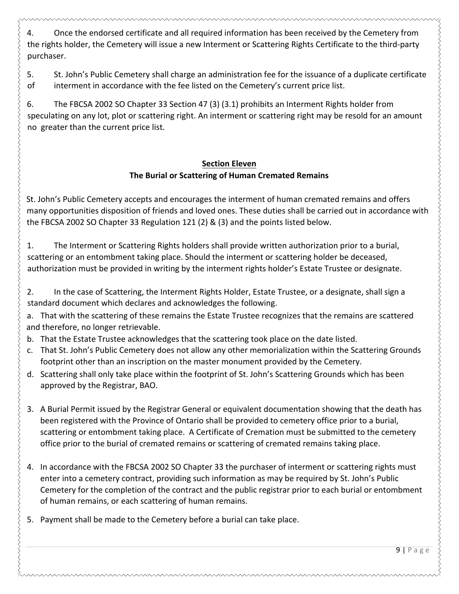4. Once the endorsed certificate and all required information has been received by the Cemetery from the rights holder, the Cemetery will issue a new Interment or Scattering Rights Certificate to the third-party purchaser. 

5. St. John's Public Cemetery shall charge an administration fee for the issuance of a duplicate certificate of interment in accordance with the fee listed on the Cemetery's current price list.

6. The FBCSA 2002 SO Chapter 33 Section 47 (3) (3.1) prohibits an Interment Rights holder from speculating on any lot, plot or scattering right. An interment or scattering right may be resold for an amount no greater than the current price list.

# **Section Eleven The Burial or Scattering of Human Cremated Remains**

St. John's Public Cemetery accepts and encourages the interment of human cremated remains and offers many opportunities disposition of friends and loved ones. These duties shall be carried out in accordance with the FBCSA 2002 SO Chapter 33 Regulation 121 (2) & (3) and the points listed below.

1. The Interment or Scattering Rights holders shall provide written authorization prior to a burial, scattering or an entombment taking place. Should the interment or scattering holder be deceased, authorization must be provided in writing by the interment rights holder's Estate Trustee or designate.

2. In the case of Scattering, the Interment Rights Holder, Estate Trustee, or a designate, shall sign a standard document which declares and acknowledges the following.

a. That with the scattering of these remains the Estate Trustee recognizes that the remains are scattered and therefore, no longer retrievable.

- b. That the Estate Trustee acknowledges that the scattering took place on the date listed.
- c. That St. John's Public Cemetery does not allow any other memorialization within the Scattering Grounds footprint other than an inscription on the master monument provided by the Cemetery.
- d. Scattering shall only take place within the footprint of St. John's Scattering Grounds which has been approved by the Registrar, BAO.
- 3. A Burial Permit issued by the Registrar General or equivalent documentation showing that the death has been registered with the Province of Ontario shall be provided to cemetery office prior to a burial, scattering or entombment taking place. A Certificate of Cremation must be submitted to the cemetery office prior to the burial of cremated remains or scattering of cremated remains taking place.
- 4. In accordance with the FBCSA 2002 SO Chapter 33 the purchaser of interment or scattering rights must enter into a cemetery contract, providing such information as may be required by St. John's Public Cemetery for the completion of the contract and the public registrar prior to each burial or entombment of human remains, or each scattering of human remains.
- 5. Payment shall be made to the Cemetery before a burial can take place.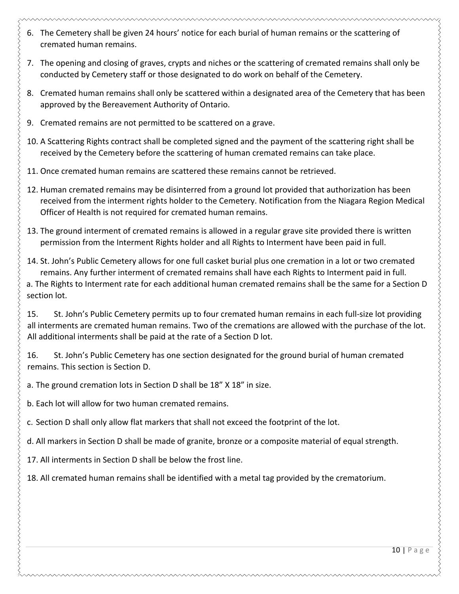- 
- 6. The Cemetery shall be given 24 hours' notice for each burial of human remains or the scattering of cremated human remains.
- 7. The opening and closing of graves, crypts and niches or the scattering of cremated remains shall only be conducted by Cemetery staff or those designated to do work on behalf of the Cemetery.
- 8. Cremated human remains shall only be scattered within a designated area of the Cemetery that has been approved by the Bereavement Authority of Ontario.
- 9. Cremated remains are not permitted to be scattered on a grave.
- 10. A Scattering Rights contract shall be completed signed and the payment of the scattering right shall be received by the Cemetery before the scattering of human cremated remains can take place.
- 11. Once cremated human remains are scattered these remains cannot be retrieved.
- 12. Human cremated remains may be disinterred from a ground lot provided that authorization has been received from the interment rights holder to the Cemetery. Notification from the Niagara Region Medical Officer of Health is not required for cremated human remains.
- 13. The ground interment of cremated remains is allowed in a regular grave site provided there is written permission from the Interment Rights holder and all Rights to Interment have been paid in full.
- 14. St. John's Public Cemetery allows for one full casket burial plus one cremation in a lot or two cremated remains. Any further interment of cremated remains shall have each Rights to Interment paid in full. a. The Rights to Interment rate for each additional human cremated remains shall be the same for a Section D section lot.

15. St. John's Public Cemetery permits up to four cremated human remains in each full-size lot providing all interments are cremated human remains. Two of the cremations are allowed with the purchase of the lot. All additional interments shall be paid at the rate of a Section D lot.

16. St. John's Public Cemetery has one section designated for the ground burial of human cremated remains. This section is Section D.

a. The ground cremation lots in Section D shall be 18" X 18" in size.

b. Each lot will allow for two human cremated remains.

c. Section D shall only allow flat markers that shall not exceed the footprint of the lot.

d. All markers in Section D shall be made of granite, bronze or a composite material of equal strength.

17. All interments in Section D shall be below the frost line.

18. All cremated human remains shall be identified with a metal tag provided by the crematorium.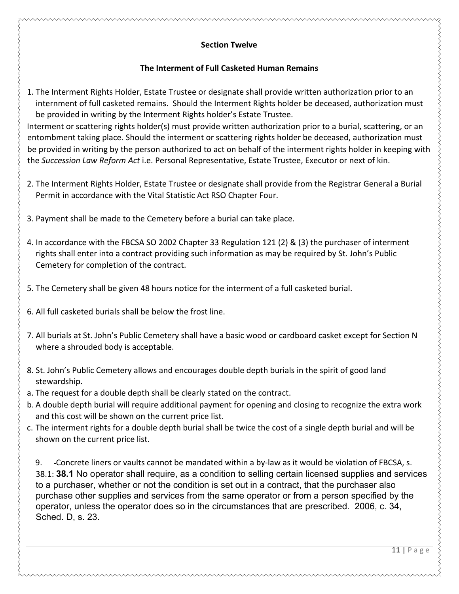# **Section Twelve**

# **The Interment of Full Casketed Human Remains**

1. The Interment Rights Holder, Estate Trustee or designate shall provide written authorization prior to an internment of full casketed remains. Should the Interment Rights holder be deceased, authorization must be provided in writing by the Interment Rights holder's Estate Trustee.

Interment or scattering rights holder(s) must provide written authorization prior to a burial, scattering, or an entombment taking place. Should the interment or scattering rights holder be deceased, authorization must be provided in writing by the person authorized to act on behalf of the interment rights holder in keeping with the Succession Law Reform Act i.e. Personal Representative, Estate Trustee, Executor or next of kin.

- 2. The Interment Rights Holder, Estate Trustee or designate shall provide from the Registrar General a Burial Permit in accordance with the Vital Statistic Act RSO Chapter Four.
- 3. Payment shall be made to the Cemetery before a burial can take place.
- 4. In accordance with the FBCSA SO 2002 Chapter 33 Regulation 121 (2) & (3) the purchaser of interment rights shall enter into a contract providing such information as may be required by St. John's Public Cemetery for completion of the contract.
- 5. The Cemetery shall be given 48 hours notice for the interment of a full casketed burial.
- 6. All full casketed burials shall be below the frost line.
- 7. All burials at St. John's Public Cemetery shall have a basic wood or cardboard casket except for Section N where a shrouded body is acceptable.
- 8. St. John's Public Cemetery allows and encourages double depth burials in the spirit of good land stewardship.
- a. The request for a double depth shall be clearly stated on the contract.
- b. A double depth burial will require additional payment for opening and closing to recognize the extra work and this cost will be shown on the current price list.
- c. The interment rights for a double depth burial shall be twice the cost of a single depth burial and will be shown on the current price list.

9. Concrete liners or vaults cannot be mandated within a by-law as it would be violation of FBCSA, s. 38.1: **38.1** No operator shall require, as a condition to selling certain licensed supplies and services to a purchaser, whether or not the condition is set out in a contract, that the purchaser also purchase other supplies and services from the same operator or from a person specified by the operator, unless the operator does so in the circumstances that are prescribed. 2006, c. 34, Sched. D, s. 23.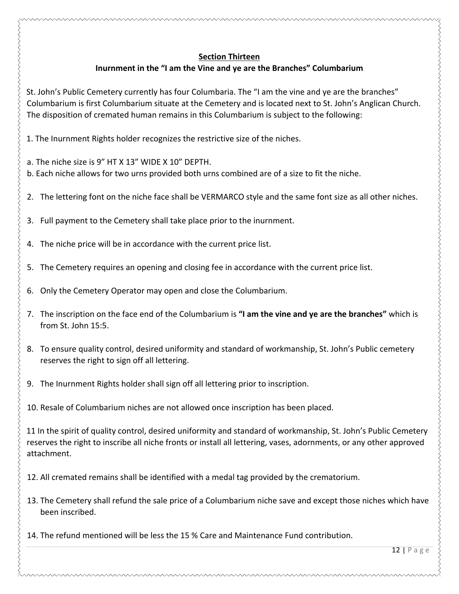#### **Section Thirteen**

# **Inurnment in the "I am the Vine and ye are the Branches" Columbarium**

St. John's Public Cemetery currently has four Columbaria. The "I am the vine and ye are the branches" Columbarium is first Columbarium situate at the Cemetery and is located next to St. John's Anglican Church. The disposition of cremated human remains in this Columbarium is subject to the following:

1. The Inurnment Rights holder recognizes the restrictive size of the niches.

a. The niche size is 9" HT X 13" WIDE X 10" DEPTH.

b. Each niche allows for two urns provided both urns combined are of a size to fit the niche.

- 2. The lettering font on the niche face shall be VERMARCO style and the same font size as all other niches.
- 3. Full payment to the Cemetery shall take place prior to the inurnment.
- 4. The niche price will be in accordance with the current price list.
- 5. The Cemetery requires an opening and closing fee in accordance with the current price list.
- 6. Only the Cemetery Operator may open and close the Columbarium.
- 7. The inscription on the face end of the Columbarium is "I am the vine and ye are the branches" which is from St. John 15:5.
- 8. To ensure quality control, desired uniformity and standard of workmanship, St. John's Public cemetery reserves the right to sign off all lettering.
- 9. The Inurnment Rights holder shall sign off all lettering prior to inscription.

10. Resale of Columbarium niches are not allowed once inscription has been placed.

11 In the spirit of quality control, desired uniformity and standard of workmanship, St. John's Public Cemetery reserves the right to inscribe all niche fronts or install all lettering, vases, adornments, or any other approved attachment. 

- 12. All cremated remains shall be identified with a medal tag provided by the crematorium.
- 13. The Cemetery shall refund the sale price of a Columbarium niche save and except those niches which have been inscribed.
- 14. The refund mentioned will be less the 15 % Care and Maintenance Fund contribution.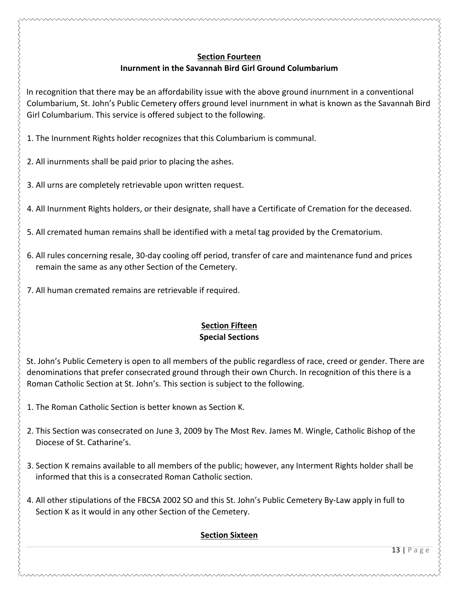# **Section Fourteen**

# **Inurnment in the Savannah Bird Girl Ground Columbarium**

In recognition that there may be an affordability issue with the above ground inurnment in a conventional Columbarium, St. John's Public Cemetery offers ground level inurnment in what is known as the Savannah Bird Girl Columbarium. This service is offered subject to the following.

1. The Inurnment Rights holder recognizes that this Columbarium is communal.

2. All inurnments shall be paid prior to placing the ashes.

3. All urns are completely retrievable upon written request.

4. All Inurnment Rights holders, or their designate, shall have a Certificate of Cremation for the deceased.

5. All cremated human remains shall be identified with a metal tag provided by the Crematorium.

6. All rules concerning resale, 30-day cooling off period, transfer of care and maintenance fund and prices remain the same as any other Section of the Cemetery.

7. All human cremated remains are retrievable if required.

#### **Section Fifteen Special Sections**

St. John's Public Cemetery is open to all members of the public regardless of race, creed or gender. There are denominations that prefer consecrated ground through their own Church. In recognition of this there is a Roman Catholic Section at St. John's. This section is subject to the following.

1. The Roman Catholic Section is better known as Section K.

- 2. This Section was consecrated on June 3, 2009 by The Most Rev. James M. Wingle, Catholic Bishop of the Diocese of St. Catharine's.
- 3. Section K remains available to all members of the public; however, any Interment Rights holder shall be informed that this is a consecrated Roman Catholic section.
- 4. All other stipulations of the FBCSA 2002 SO and this St. John's Public Cemetery By-Law apply in full to Section K as it would in any other Section of the Cemetery.

# **Section Sixteen**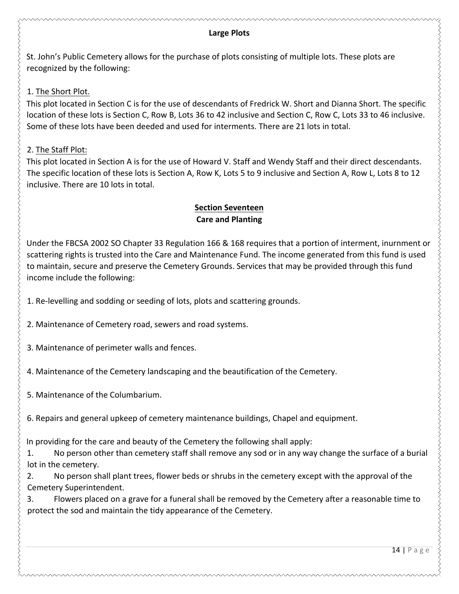#### **Large Plots**

St. John's Public Cemetery allows for the purchase of plots consisting of multiple lots. These plots are recognized by the following:

#### 1. The Short Plot.

This plot located in Section C is for the use of descendants of Fredrick W. Short and Dianna Short. The specific location of these lots is Section C, Row B, Lots 36 to 42 inclusive and Section C, Row C, Lots 33 to 46 inclusive. Some of these lots have been deeded and used for interments. There are 21 lots in total.

#### 2. The Staff Plot:

This plot located in Section A is for the use of Howard V. Staff and Wendy Staff and their direct descendants. The specific location of these lots is Section A, Row K, Lots 5 to 9 inclusive and Section A, Row L, Lots 8 to 12 inclusive. There are 10 lots in total.

#### **Section Seventeen Care and Planting**

Under the FBCSA 2002 SO Chapter 33 Regulation 166 & 168 requires that a portion of interment, inurnment or scattering rights is trusted into the Care and Maintenance Fund. The income generated from this fund is used to maintain, secure and preserve the Cemetery Grounds. Services that may be provided through this fund income include the following:

1. Re-levelling and sodding or seeding of lots, plots and scattering grounds.

2. Maintenance of Cemetery road, sewers and road systems.

3. Maintenance of perimeter walls and fences.

4. Maintenance of the Cemetery landscaping and the beautification of the Cemetery.

5. Maintenance of the Columbarium.

6. Repairs and general upkeep of cemetery maintenance buildings, Chapel and equipment.

In providing for the care and beauty of the Cemetery the following shall apply:

1. No person other than cemetery staff shall remove any sod or in any way change the surface of a burial lot in the cemetery.

2. No person shall plant trees, flower beds or shrubs in the cemetery except with the approval of the Cemetery Superintendent. 

3. Flowers placed on a grave for a funeral shall be removed by the Cemetery after a reasonable time to protect the sod and maintain the tidy appearance of the Cemetery.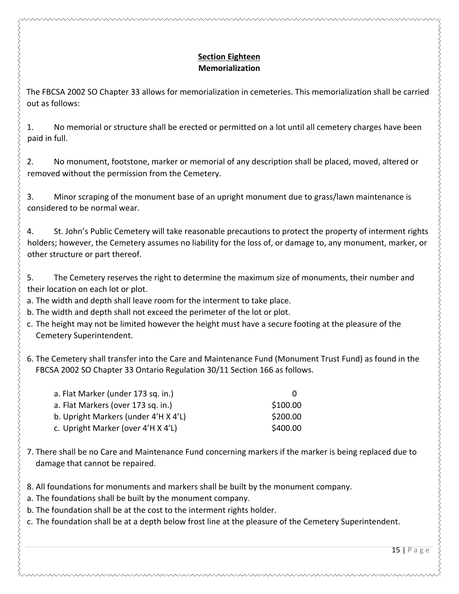#### **Section Eighteen Memorialization**

The FBCSA 2002 SO Chapter 33 allows for memorialization in cemeteries. This memorialization shall be carried out as follows:

1. No memorial or structure shall be erected or permitted on a lot until all cemetery charges have been paid in full.

2. No monument, footstone, marker or memorial of any description shall be placed, moved, altered or removed without the permission from the Cemetery.

3. Minor scraping of the monument base of an upright monument due to grass/lawn maintenance is considered to be normal wear.

4. St. John's Public Cemetery will take reasonable precautions to protect the property of interment rights holders; however, the Cemetery assumes no liability for the loss of, or damage to, any monument, marker, or other structure or part thereof.

5. The Cemetery reserves the right to determine the maximum size of monuments, their number and their location on each lot or plot.

a. The width and depth shall leave room for the interment to take place.

b. The width and depth shall not exceed the perimeter of the lot or plot.

c. The height may not be limited however the height must have a secure footing at the pleasure of the Cemetery Superintendent. 

6. The Cemetery shall transfer into the Care and Maintenance Fund (Monument Trust Fund) as found in the FBCSA 2002 SO Chapter 33 Ontario Regulation 30/11 Section 166 as follows.

| a. Flat Marker (under 173 sq. in.)   |          |
|--------------------------------------|----------|
| a. Flat Markers (over 173 sq. in.)   | \$100.00 |
| b. Upright Markers (under 4'H X 4'L) | \$200.00 |
| c. Upright Marker (over 4'H X 4'L)   | \$400.00 |

7. There shall be no Care and Maintenance Fund concerning markers if the marker is being replaced due to damage that cannot be repaired.

8. All foundations for monuments and markers shall be built by the monument company.

a. The foundations shall be built by the monument company.

b. The foundation shall be at the cost to the interment rights holder.

c. The foundation shall be at a depth below frost line at the pleasure of the Cemetery Superintendent.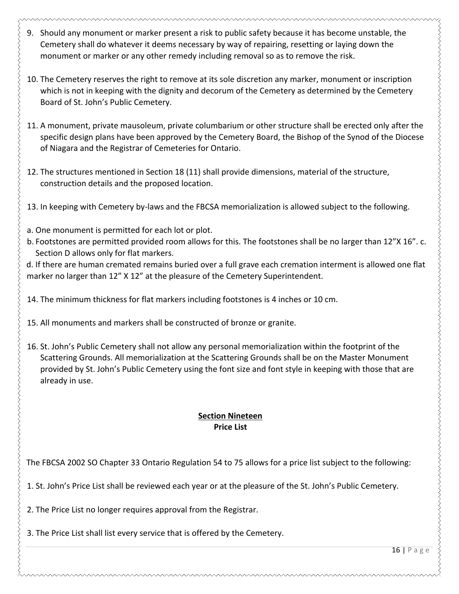- 9. Should any monument or marker present a risk to public safety because it has become unstable, the Cemetery shall do whatever it deems necessary by way of repairing, resetting or laying down the monument or marker or any other remedy including removal so as to remove the risk.
- 10. The Cemetery reserves the right to remove at its sole discretion any marker, monument or inscription which is not in keeping with the dignity and decorum of the Cemetery as determined by the Cemetery Board of St. John's Public Cemetery.
- 11. A monument, private mausoleum, private columbarium or other structure shall be erected only after the specific design plans have been approved by the Cemetery Board, the Bishop of the Synod of the Diocese of Niagara and the Registrar of Cemeteries for Ontario.
- 12. The structures mentioned in Section 18 (11) shall provide dimensions, material of the structure, construction details and the proposed location.
- 13. In keeping with Cemetery by-laws and the FBCSA memorialization is allowed subject to the following.
- a. One monument is permitted for each lot or plot.
- b. Footstones are permitted provided room allows for this. The footstones shall be no larger than 12"X 16". c. Section D allows only for flat markers.
- d. If there are human cremated remains buried over a full grave each cremation interment is allowed one flat marker no larger than 12" X 12" at the pleasure of the Cemetery Superintendent.
- 14. The minimum thickness for flat markers including footstones is 4 inches or 10 cm.
- 15. All monuments and markers shall be constructed of bronze or granite.
- 16. St. John's Public Cemetery shall not allow any personal memorialization within the footprint of the Scattering Grounds. All memorialization at the Scattering Grounds shall be on the Master Monument provided by St. John's Public Cemetery using the font size and font style in keeping with those that are already in use.

# **Section Nineteen Price List**

The FBCSA 2002 SO Chapter 33 Ontario Regulation 54 to 75 allows for a price list subject to the following:

1. St. John's Price List shall be reviewed each year or at the pleasure of the St. John's Public Cemetery.

2. The Price List no longer requires approval from the Registrar.

3. The Price List shall list every service that is offered by the Cemetery.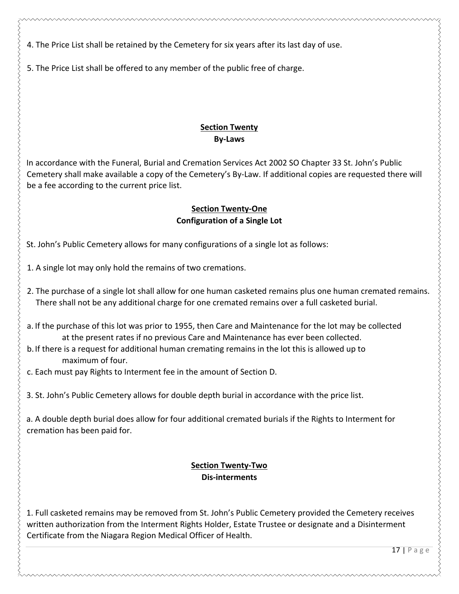4. The Price List shall be retained by the Cemetery for six years after its last day of use.

5. The Price List shall be offered to any member of the public free of charge.

## **Section Twenty By-Laws**

In accordance with the Funeral, Burial and Cremation Services Act 2002 SO Chapter 33 St. John's Public Cemetery shall make available a copy of the Cemetery's By-Law. If additional copies are requested there will be a fee according to the current price list.

#### **Section Twenty-One Configuration of a Single Lot**

St. John's Public Cemetery allows for many configurations of a single lot as follows:

1. A single lot may only hold the remains of two cremations.

- 2. The purchase of a single lot shall allow for one human casketed remains plus one human cremated remains. There shall not be any additional charge for one cremated remains over a full casketed burial.
- a. If the purchase of this lot was prior to 1955, then Care and Maintenance for the lot may be collected at the present rates if no previous Care and Maintenance has ever been collected.
- b. If there is a request for additional human cremating remains in the lot this is allowed up to maximum of four.
- c. Each must pay Rights to Interment fee in the amount of Section D.

3. St. John's Public Cemetery allows for double depth burial in accordance with the price list.

a. A double depth burial does allow for four additional cremated burials if the Rights to Interment for cremation has been paid for.

#### **Section Twenty-Two** Dis-interments

1. Full casketed remains may be removed from St. John's Public Cemetery provided the Cemetery receives written authorization from the Interment Rights Holder, Estate Trustee or designate and a Disinterment Certificate from the Niagara Region Medical Officer of Health.

 $17$  | Page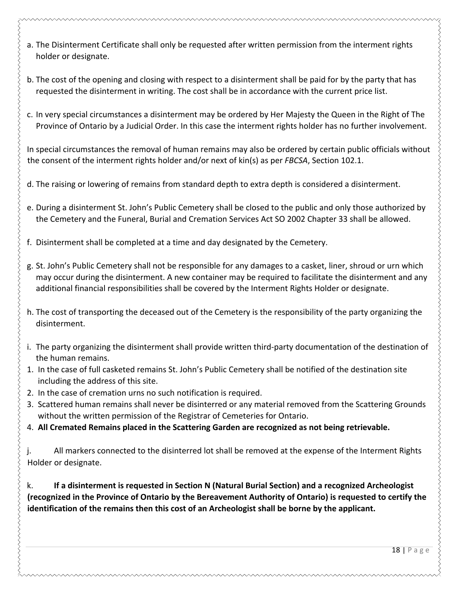- 
- a. The Disinterment Certificate shall only be requested after written permission from the interment rights holder or designate.
- b. The cost of the opening and closing with respect to a disinterment shall be paid for by the party that has requested the disinterment in writing. The cost shall be in accordance with the current price list.
- c. In very special circumstances a disinterment may be ordered by Her Majesty the Queen in the Right of The Province of Ontario by a Judicial Order. In this case the interment rights holder has no further involvement.

In special circumstances the removal of human remains may also be ordered by certain public officials without the consent of the interment rights holder and/or next of kin(s) as per FBCSA, Section 102.1.

- d. The raising or lowering of remains from standard depth to extra depth is considered a disinterment.
- e. During a disinterment St. John's Public Cemetery shall be closed to the public and only those authorized by the Cemetery and the Funeral, Burial and Cremation Services Act SO 2002 Chapter 33 shall be allowed.
- f. Disinterment shall be completed at a time and day designated by the Cemetery.
- g. St. John's Public Cemetery shall not be responsible for any damages to a casket, liner, shroud or urn which may occur during the disinterment. A new container may be required to facilitate the disinterment and any additional financial responsibilities shall be covered by the Interment Rights Holder or designate.
- h. The cost of transporting the deceased out of the Cemetery is the responsibility of the party organizing the disinterment.
- i. The party organizing the disinterment shall provide written third-party documentation of the destination of the human remains.
- 1. In the case of full casketed remains St. John's Public Cemetery shall be notified of the destination site including the address of this site.
- 2. In the case of cremation urns no such notification is required.
- 3. Scattered human remains shall never be disinterred or any material removed from the Scattering Grounds without the written permission of the Registrar of Cemeteries for Ontario.
- 4. All Cremated Remains placed in the Scattering Garden are recognized as not being retrievable.

j. All markers connected to the disinterred lot shall be removed at the expense of the Interment Rights Holder or designate.

k. **If a disinterment is requested in Section N (Natural Burial Section) and a recognized Archeologist (recognized in the Province of Ontario by the Bereavement Authority of Ontario) is requested to certify the identification of the remains then this cost of an Archeologist shall be borne by the applicant.**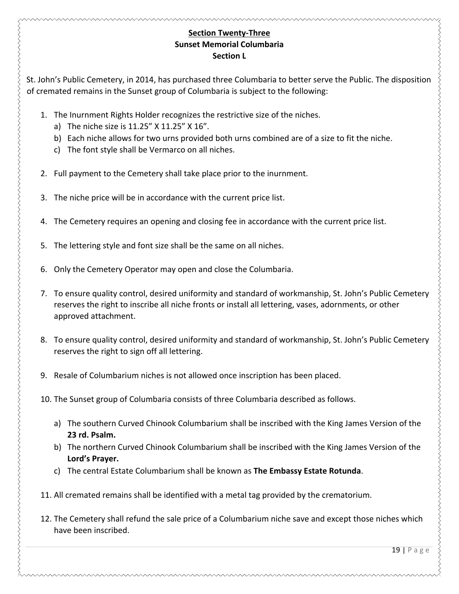#### **Section Twenty-Three Sunset Memorial Columbaria Section** L

St. John's Public Cemetery, in 2014, has purchased three Columbaria to better serve the Public. The disposition of cremated remains in the Sunset group of Columbaria is subject to the following:

- 1. The Inurnment Rights Holder recognizes the restrictive size of the niches.
	- a) The niche size is  $11.25''$  X  $11.25''$  X  $16''$ .
	- b) Each niche allows for two urns provided both urns combined are of a size to fit the niche.
	- c) The font style shall be Vermarco on all niches.
- 2. Full payment to the Cemetery shall take place prior to the inurnment.
- 3. The niche price will be in accordance with the current price list.
- 4. The Cemetery requires an opening and closing fee in accordance with the current price list.
- 5. The lettering style and font size shall be the same on all niches.
- 6. Only the Cemetery Operator may open and close the Columbaria.
- 7. To ensure quality control, desired uniformity and standard of workmanship, St. John's Public Cemetery reserves the right to inscribe all niche fronts or install all lettering, vases, adornments, or other approved attachment.
- 8. To ensure quality control, desired uniformity and standard of workmanship, St. John's Public Cemetery reserves the right to sign off all lettering.
- 9. Resale of Columbarium niches is not allowed once inscription has been placed.
- 10. The Sunset group of Columbaria consists of three Columbaria described as follows.
	- a) The southern Curved Chinook Columbarium shall be inscribed with the King James Version of the **23 rd. Psalm.**
	- b) The northern Curved Chinook Columbarium shall be inscribed with the King James Version of the **Lord's Prayer.**
	- c) The central Estate Columbarium shall be known as The Embassy Estate Rotunda.
- 11. All cremated remains shall be identified with a metal tag provided by the crematorium.
- 12. The Cemetery shall refund the sale price of a Columbarium niche save and except those niches which have been inscribed.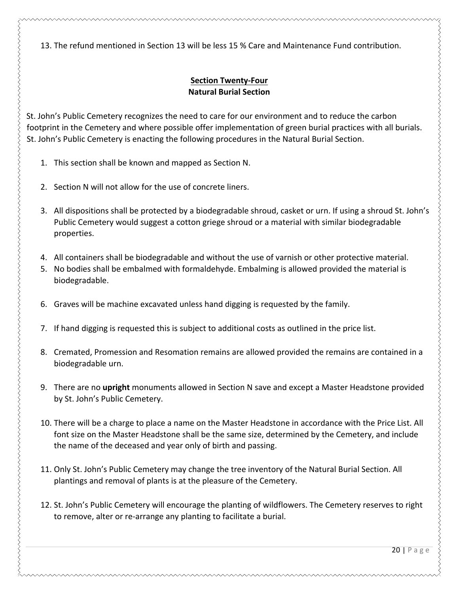13. The refund mentioned in Section 13 will be less 15 % Care and Maintenance Fund contribution.

# **Section Twenty-Four Natural Burial Section**

St. John's Public Cemetery recognizes the need to care for our environment and to reduce the carbon footprint in the Cemetery and where possible offer implementation of green burial practices with all burials. St. John's Public Cemetery is enacting the following procedures in the Natural Burial Section.

- 1. This section shall be known and mapped as Section N.
- 2. Section N will not allow for the use of concrete liners.

- 3. All dispositions shall be protected by a biodegradable shroud, casket or urn. If using a shroud St. John's Public Cemetery would suggest a cotton griege shroud or a material with similar biodegradable properties.
- 4. All containers shall be biodegradable and without the use of varnish or other protective material.
- 5. No bodies shall be embalmed with formaldehyde. Embalming is allowed provided the material is biodegradable.
- 6. Graves will be machine excavated unless hand digging is requested by the family.
- 7. If hand digging is requested this is subject to additional costs as outlined in the price list.
- 8. Cremated, Promession and Resomation remains are allowed provided the remains are contained in a biodegradable urn.
- 9. There are no upright monuments allowed in Section N save and except a Master Headstone provided by St. John's Public Cemetery.
- 10. There will be a charge to place a name on the Master Headstone in accordance with the Price List. All font size on the Master Headstone shall be the same size, determined by the Cemetery, and include the name of the deceased and year only of birth and passing.
- 11. Only St. John's Public Cemetery may change the tree inventory of the Natural Burial Section. All plantings and removal of plants is at the pleasure of the Cemetery.
- 12. St. John's Public Cemetery will encourage the planting of wildflowers. The Cemetery reserves to right to remove, alter or re-arrange any planting to facilitate a burial.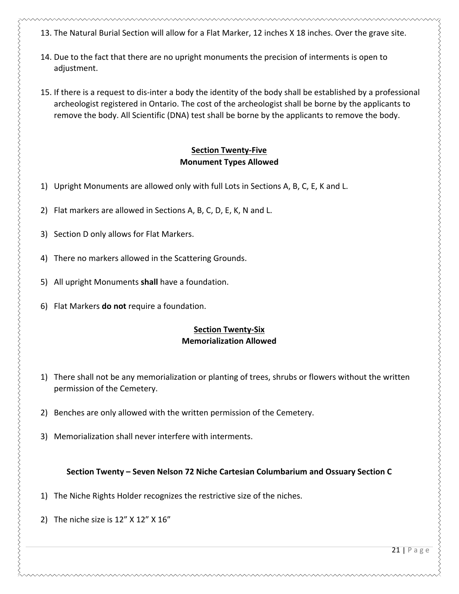- 13. The Natural Burial Section will allow for a Flat Marker, 12 inches X 18 inches. Over the grave site.
- 14. Due to the fact that there are no upright monuments the precision of interments is open to adjustment.
- 15. If there is a request to dis-inter a body the identity of the body shall be established by a professional archeologist registered in Ontario. The cost of the archeologist shall be borne by the applicants to remove the body. All Scientific (DNA) test shall be borne by the applicants to remove the body.

#### **Section Twenty-Five Monument Types Allowed**

- 1) Upright Monuments are allowed only with full Lots in Sections A, B, C, E, K and L.
- 2) Flat markers are allowed in Sections A, B, C, D, E, K, N and L.
- 3) Section D only allows for Flat Markers.
- 4) There no markers allowed in the Scattering Grounds.
- 5) All upright Monuments shall have a foundation.
- 6) Flat Markers **do not** require a foundation.

#### **Section Twenty-Six Memorialization Allowed**

- 1) There shall not be any memorialization or planting of trees, shrubs or flowers without the written permission of the Cemetery.
- 2) Benches are only allowed with the written permission of the Cemetery.
- 3) Memorialization shall never interfere with interments.

#### Section Twenty – Seven Nelson 72 Niche Cartesian Columbarium and Ossuary Section C

- 1) The Niche Rights Holder recognizes the restrictive size of the niches.
- 2) The niche size is  $12''$  X  $12''$  X  $16''$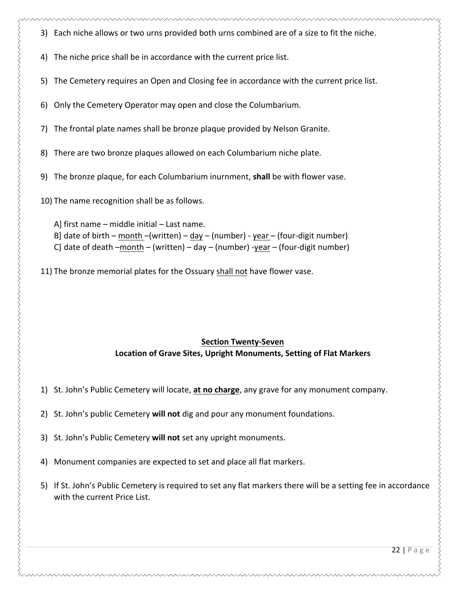- 3) Each niche allows or two urns provided both urns combined are of a size to fit the niche.
- 4) The niche price shall be in accordance with the current price list.
- 5) The Cemetery requires an Open and Closing fee in accordance with the current price list.
- 6) Only the Cemetery Operator may open and close the Columbarium.
- 7) The frontal plate names shall be bronze plaque provided by Nelson Granite.
- 8) There are two bronze plaques allowed on each Columbarium niche plate.
- 9) The bronze plaque, for each Columbarium inurnment, shall be with flower vase.

10) The name recognition shall be as follows.

A] first  $name$  – middle initial – Last name. B] date of birth – month –(written) – day – (number) - year – (four-digit number) C] date of death  $-$ month  $-$  (written)  $-$  day  $-$  (number) -year  $-$  (four-digit number)

11) The bronze memorial plates for the Ossuary shall not have flower vase.

#### **Section Twenty-Seven** Location of Grave Sites, Upright Monuments, Setting of Flat Markers

- 1) St. John's Public Cemetery will locate, at no charge, any grave for any monument company.
- 2) St. John's public Cemetery **will not** dig and pour any monument foundations.
- 3) St. John's Public Cemetery will not set any upright monuments.
- 4) Monument companies are expected to set and place all flat markers.
- 5) If St. John's Public Cemetery is required to set any flat markers there will be a setting fee in accordance with the current Price List.